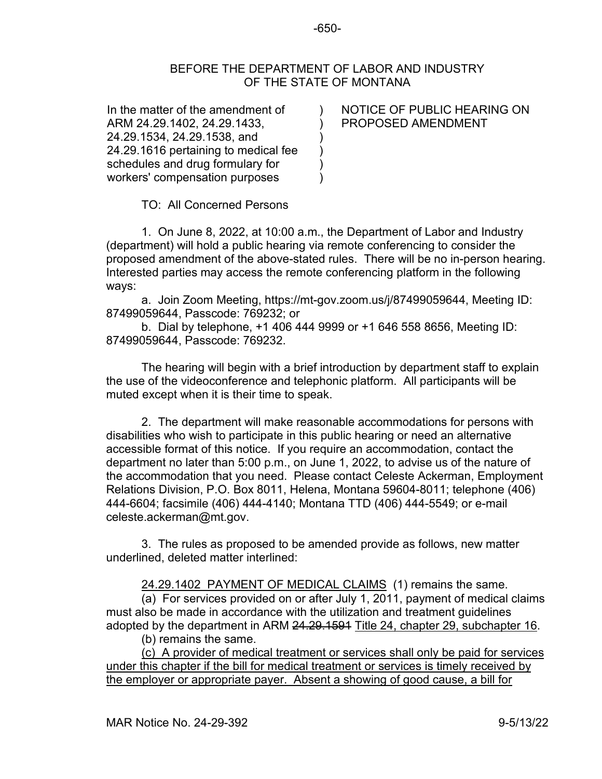## -650-

## BEFORE THE DEPARTMENT OF LABOR AND INDUSTRY OF THE STATE OF MONTANA

)  $\lambda$ ) ) ) )

In the matter of the amendment of ARM 24.29.1402, 24.29.1433, 24.29.1534, 24.29.1538, and 24.29.1616 pertaining to medical fee schedules and drug formulary for workers' compensation purposes

NOTICE OF PUBLIC HEARING ON PROPOSED AMENDMENT

TO: All Concerned Persons

1. On June 8, 2022, at 10:00 a.m., the Department of Labor and Industry (department) will hold a public hearing via remote conferencing to consider the proposed amendment of the above-stated rules. There will be no in-person hearing. Interested parties may access the remote conferencing platform in the following ways:

a. Join Zoom Meeting, https://mt-gov.zoom.us/j/87499059644, Meeting ID: 87499059644, Passcode: 769232; or

b. Dial by telephone, +1 406 444 9999 or +1 646 558 8656, Meeting ID: 87499059644, Passcode: 769232.

The hearing will begin with a brief introduction by department staff to explain the use of the videoconference and telephonic platform. All participants will be muted except when it is their time to speak.

2. The department will make reasonable accommodations for persons with disabilities who wish to participate in this public hearing or need an alternative accessible format of this notice. If you require an accommodation, contact the department no later than 5:00 p.m., on June 1, 2022, to advise us of the nature of the accommodation that you need. Please contact Celeste Ackerman, Employment Relations Division, P.O. Box 8011, Helena, Montana 59604-8011; telephone (406) 444-6604; facsimile (406) 444-4140; Montana TTD (406) 444-5549; or e-mail celeste.ackerman@mt.gov.

 3. The rules as proposed to be amended provide as follows, new matter underlined, deleted matter interlined:

24.29.1402 PAYMENT OF MEDICAL CLAIMS (1) remains the same.

(a) For services provided on or after July 1, 2011, payment of medical claims must also be made in accordance with the utilization and treatment guidelines adopted by the department in ARM 24.29.1591 Title 24, chapter 29, subchapter 16.

(b) remains the same.

(c) A provider of medical treatment or services shall only be paid for services under this chapter if the bill for medical treatment or services is timely received by the employer or appropriate payer. Absent a showing of good cause, a bill for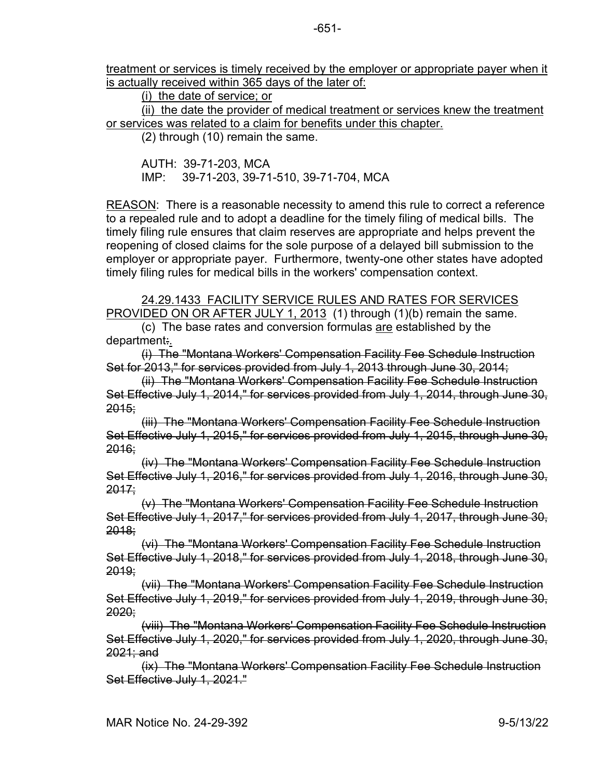treatment or services is timely received by the employer or appropriate payer when it is actually received within 365 days of the later of:

(i) the date of service; or

(ii) the date the provider of medical treatment or services knew the treatment or services was related to a claim for benefits under this chapter.

(2) through (10) remain the same.

AUTH: 39-71-203, MCA IMP: 39-71-203, 39-71-510, 39-71-704, MCA

REASON: There is a reasonable necessity to amend this rule to correct a reference to a repealed rule and to adopt a deadline for the timely filing of medical bills. The timely filing rule ensures that claim reserves are appropriate and helps prevent the reopening of closed claims for the sole purpose of a delayed bill submission to the employer or appropriate payer. Furthermore, twenty-one other states have adopted timely filing rules for medical bills in the workers' compensation context.

24.29.1433 FACILITY SERVICE RULES AND RATES FOR SERVICES PROVIDED ON OR AFTER JULY 1, 2013 (1) through (1)(b) remain the same.

(c) The base rates and conversion formulas are established by the department:.

(i) The "Montana Workers' Compensation Facility Fee Schedule Instruction Set for 2013," for services provided from July 1, 2013 through June 30, 2014;

(ii) The "Montana Workers' Compensation Facility Fee Schedule Instruction Set Effective July 1, 2014," for services provided from July 1, 2014, through June 30,  $2015$ ;

(iii) The "Montana Workers' Compensation Facility Fee Schedule Instruction Set Effective July 1, 2015," for services provided from July 1, 2015, through June 30, 2016;

(iv) The "Montana Workers' Compensation Facility Fee Schedule Instruction Set Effective July 1, 2016," for services provided from July 1, 2016, through June 30, 2017;

(v) The "Montana Workers' Compensation Facility Fee Schedule Instruction Set Effective July 1, 2017," for services provided from July 1, 2017, through June 30, 2018;

(vi) The "Montana Workers' Compensation Facility Fee Schedule Instruction Set Effective July 1, 2018," for services provided from July 1, 2018, through June 30, 2019;

(vii) The "Montana Workers' Compensation Facility Fee Schedule Instruction Set Effective July 1, 2019," for services provided from July 1, 2019, through June 30, 2020;

(viii) The "Montana Workers' Compensation Facility Fee Schedule Instruction Set Effective July 1, 2020," for services provided from July 1, 2020, through June 30,  $2021$ ; and

(ix) The "Montana Workers' Compensation Facility Fee Schedule Instruction Set Effective July 1, 2021."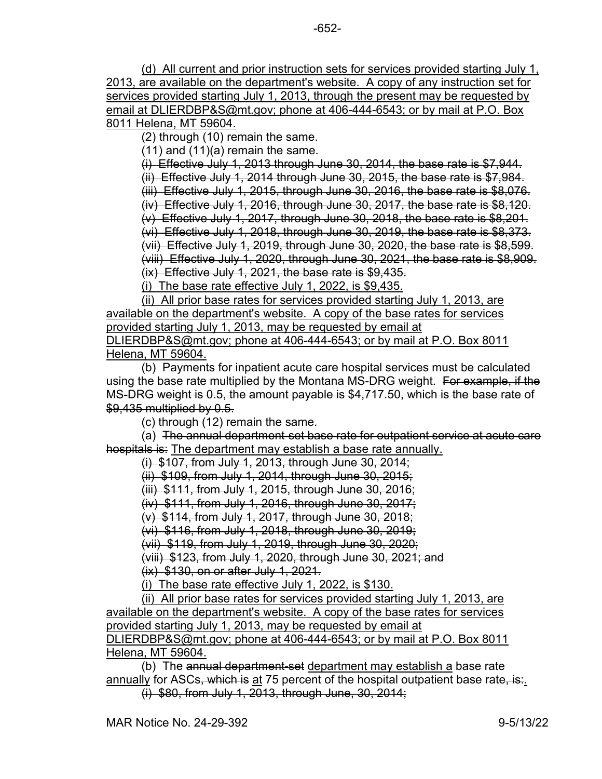(d) All current and prior instruction sets for services provided starting July 1, 2013, are available on the department's website. A copy of any instruction set for services provided starting July 1, 2013, through the present may be requested by email at DLIERDBP&S@mt.gov; phone at 406-444-6543; or by mail at P.O. Box 8011 Helena, MT 59604.

(2) through (10) remain the same.

 $(11)$  and  $(11)(a)$  remain the same.

(i) Effective July 1, 2013 through June 30, 2014, the base rate is \$7,944.

(ii) Effective July 1, 2014 through June 30, 2015, the base rate is \$7,984.

(iii) Effective July 1, 2015, through June 30, 2016, the base rate is \$8,076.

(iv) Effective July 1, 2016, through June 30, 2017, the base rate is \$8,120.

 $(v)$  Effective July 1, 2017, through June 30, 2018, the base rate is \$8,201.

(vi) Effective July 1, 2018, through June 30, 2019, the base rate is \$8,373. (vii) Effective July 1, 2019, through June 30, 2020, the base rate is \$8,599.

(viii) Effective July 1, 2020, through June 30, 2021, the base rate is \$8,909.  $(ix)$  Effective July 1, 2021, the base rate is \$9,435.

(i) The base rate effective July 1, 2022, is \$9,435.

(ii) All prior base rates for services provided starting July 1, 2013, are available on the department's website. A copy of the base rates for services provided starting July 1, 2013, may be requested by email at DLIERDBP&S@mt.gov; phone at 406-444-6543; or by mail at P.O. Box 8011 Helena, MT 59604.

(b) Payments for inpatient acute care hospital services must be calculated using the base rate multiplied by the Montana MS-DRG weight. For example, if the MS-DRG weight is 0.5, the amount payable is \$4,717.50, which is the base rate of \$9,435 multiplied by 0.5.

(c) through (12) remain the same.

(a) The annual department-set base rate for outpatient service at acute care hospitals is: The department may establish a base rate annually.

(i) \$107, from July 1, 2013, through June 30, 2014;

(ii) \$109, from July 1, 2014, through June 30, 2015;

(iii) \$111, from July 1, 2015, through June 30, 2016;

(iv) \$111, from July 1, 2016, through June 30, 2017;

(v) \$114, from July 1, 2017, through June 30, 2018;

(vi) \$116, from July 1, 2018, through June 30, 2019;

(vii) \$119, from July 1, 2019, through June 30, 2020;

(viii) \$123, from July 1, 2020, through June 30, 2021; and

(ix) \$130, on or after July 1, 2021.

(i) The base rate effective July 1, 2022, is \$130.

(ii) All prior base rates for services provided starting July 1, 2013, are available on the department's website. A copy of the base rates for services provided starting July 1, 2013, may be requested by email at DLIERDBP&S@mt.gov; phone at 406-444-6543; or by mail at P.O. Box 8011 Helena, MT 59604.

(b) The annual department-set department may establish a base rate annually for ASCs, which is at 75 percent of the hospital outpatient base rate, is: (i) \$80, from July 1, 2013, through June, 30, 2014;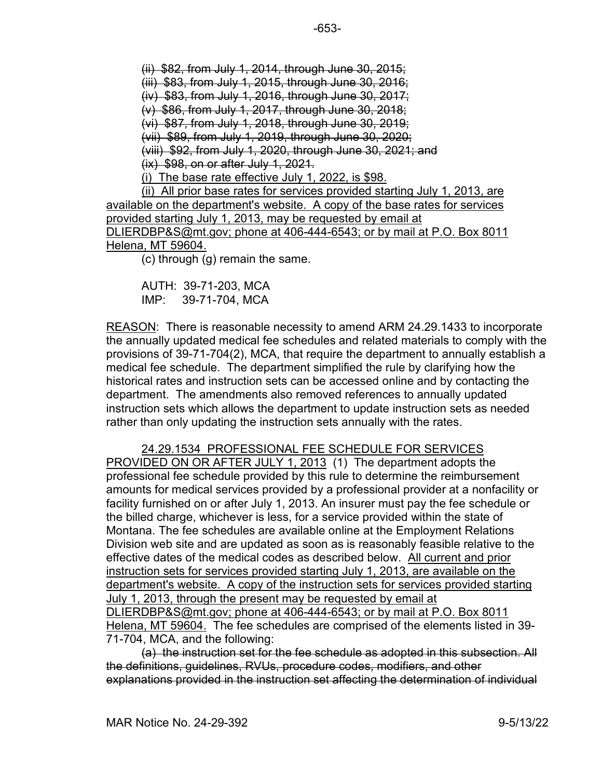(ii) \$82, from July 1, 2014, through June 30, 2015;

(iii) \$83, from July 1, 2015, through June 30, 2016;

(iv) \$83, from July 1, 2016, through June 30, 2017;

(v) \$86, from July 1, 2017, through June 30, 2018;

(vi) \$87, from July 1, 2018, through June 30, 2019;

(vii) \$89, from July 1, 2019, through June 30, 2020;

(viii) \$92, from July 1, 2020, through June 30, 2021; and

(ix) \$98, on or after July 1, 2021.

(i) The base rate effective July 1, 2022, is \$98.

(ii) All prior base rates for services provided starting July 1, 2013, are available on the department's website. A copy of the base rates for services provided starting July 1, 2013, may be requested by email at DLIERDBP&S@mt.gov; phone at 406-444-6543; or by mail at P.O. Box 8011 Helena, MT 59604.

(c) through (g) remain the same.

AUTH: 39-71-203, MCA IMP: 39-71-704, MCA

REASON: There is reasonable necessity to amend ARM 24.29.1433 to incorporate the annually updated medical fee schedules and related materials to comply with the provisions of 39-71-704(2), MCA, that require the department to annually establish a medical fee schedule. The department simplified the rule by clarifying how the historical rates and instruction sets can be accessed online and by contacting the department. The amendments also removed references to annually updated instruction sets which allows the department to update instruction sets as needed rather than only updating the instruction sets annually with the rates.

24.29.1534 PROFESSIONAL FEE SCHEDULE FOR SERVICES PROVIDED ON OR AFTER JULY 1, 2013 (1) The department adopts the professional fee schedule provided by this rule to determine the reimbursement amounts for medical services provided by a professional provider at a nonfacility or facility furnished on or after July 1, 2013. An insurer must pay the fee schedule or the billed charge, whichever is less, for a service provided within the state of Montana. The fee schedules are available online at the Employment Relations Division web site and are updated as soon as is reasonably feasible relative to the effective dates of the medical codes as described below. All current and prior instruction sets for services provided starting July 1, 2013, are available on the department's website. A copy of the instruction sets for services provided starting July 1, 2013, through the present may be requested by email at DLIERDBP&S@mt.gov; phone at 406-444-6543; or by mail at P.O. Box 8011 Helena, MT 59604. The fee schedules are comprised of the elements listed in 39- 71-704, MCA, and the following:

(a) the instruction set for the fee schedule as adopted in this subsection. All the definitions, guidelines, RVUs, procedure codes, modifiers, and other explanations provided in the instruction set affecting the determination of individual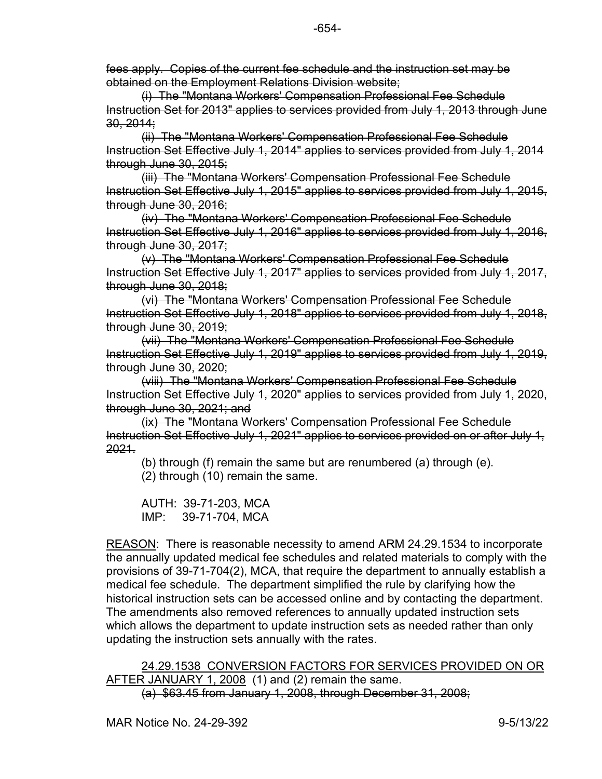fees apply. Copies of the current fee schedule and the instruction set may be obtained on the Employment Relations Division website;

(i) The "Montana Workers' Compensation Professional Fee Schedule Instruction Set for 2013" applies to services provided from July 1, 2013 through June 30, 2014;

(ii) The "Montana Workers' Compensation Professional Fee Schedule Instruction Set Effective July 1, 2014" applies to services provided from July 1, 2014 through June 30, 2015;

(iii) The "Montana Workers' Compensation Professional Fee Schedule Instruction Set Effective July 1, 2015" applies to services provided from July 1, 2015, through June 30, 2016;

 (iv) The "Montana Workers' Compensation Professional Fee Schedule Instruction Set Effective July 1, 2016" applies to services provided from July 1, 2016, through June 30, 2017;

(v) The "Montana Workers' Compensation Professional Fee Schedule Instruction Set Effective July 1, 2017" applies to services provided from July 1, 2017, through June 30, 2018;

(vi) The "Montana Workers' Compensation Professional Fee Schedule Instruction Set Effective July 1, 2018" applies to services provided from July 1, 2018, through June 30, 2019;

(vii) The "Montana Workers' Compensation Professional Fee Schedule Instruction Set Effective July 1, 2019" applies to services provided from July 1, 2019, through June 30, 2020;

(viii) The "Montana Workers' Compensation Professional Fee Schedule Instruction Set Effective July 1, 2020" applies to services provided from July 1, 2020, through June 30, 2021; and

(ix) The "Montana Workers' Compensation Professional Fee Schedule Instruction Set Effective July 1, 2021" applies to services provided on or after July 1, 2021.

(b) through (f) remain the same but are renumbered (a) through (e).

(2) through (10) remain the same.

AUTH: 39-71-203, MCA IMP: 39-71-704, MCA

REASON: There is reasonable necessity to amend ARM 24.29.1534 to incorporate the annually updated medical fee schedules and related materials to comply with the provisions of 39-71-704(2), MCA, that require the department to annually establish a medical fee schedule. The department simplified the rule by clarifying how the historical instruction sets can be accessed online and by contacting the department. The amendments also removed references to annually updated instruction sets which allows the department to update instruction sets as needed rather than only updating the instruction sets annually with the rates.

24.29.1538 CONVERSION FACTORS FOR SERVICES PROVIDED ON OR AFTER JANUARY 1, 2008 (1) and (2) remain the same. (a) \$63.45 from January 1, 2008, through December 31, 2008;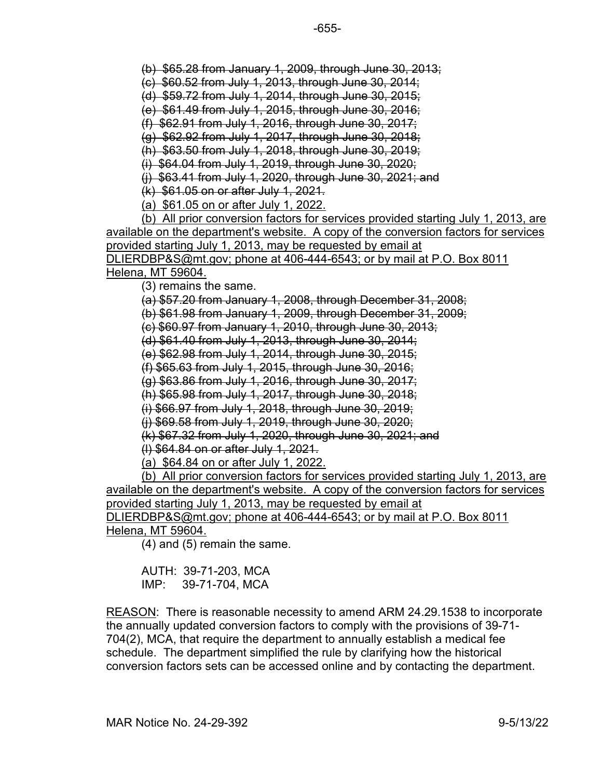(b) \$65.28 from January 1, 2009, through June 30, 2013;

(c) \$60.52 from July 1, 2013, through June 30, 2014;

(d) \$59.72 from July 1, 2014, through June 30, 2015;

(e) \$61.49 from July 1, 2015, through June 30, 2016;

(f) \$62.91 from July 1, 2016, through June 30, 2017;

(g) \$62.92 from July 1, 2017, through June 30, 2018;

(h) \$63.50 from July 1, 2018, through June 30, 2019;

(i) \$64.04 from July 1, 2019, through June 30, 2020;

(j) \$63.41 from July 1, 2020, through June 30, 2021; and

(k) \$61.05 on or after July 1, 2021.

(a) \$61.05 on or after July 1, 2022.

 (b) All prior conversion factors for services provided starting July 1, 2013, are available on the department's website. A copy of the conversion factors for services provided starting July 1, 2013, may be requested by email at DLIERDBP&S@mt.gov; phone at 406-444-6543; or by mail at P.O. Box 8011

Helena, MT 59604.

(3) remains the same.

(a) \$57.20 from January 1, 2008, through December 31, 2008;

(b) \$61.98 from January 1, 2009, through December 31, 2009;

(c) \$60.97 from January 1, 2010, through June 30, 2013;

(d) \$61.40 from July 1, 2013, through June 30, 2014;

(e) \$62.98 from July 1, 2014, through June 30, 2015;

(f) \$65.63 from July 1, 2015, through June 30, 2016;

(g) \$63.86 from July 1, 2016, through June 30, 2017;

(h) \$65.98 from July 1, 2017, through June 30, 2018;

(i) \$66.97 from July 1, 2018, through June 30, 2019;

(j) \$69.58 from July 1, 2019, through June 30, 2020;

(k) \$67.32 from July 1, 2020, through June 30, 2021; and

(l) \$64.84 on or after July 1, 2021.

(a) \$64.84 on or after July 1, 2022.

 (b) All prior conversion factors for services provided starting July 1, 2013, are available on the department's website. A copy of the conversion factors for services provided starting July 1, 2013, may be requested by email at

DLIERDBP&S@mt.gov; phone at 406-444-6543; or by mail at P.O. Box 8011 Helena, MT 59604.

(4) and (5) remain the same.

AUTH: 39-71-203, MCA IMP: 39-71-704, MCA

REASON: There is reasonable necessity to amend ARM 24.29.1538 to incorporate the annually updated conversion factors to comply with the provisions of 39-71- 704(2), MCA, that require the department to annually establish a medical fee schedule. The department simplified the rule by clarifying how the historical conversion factors sets can be accessed online and by contacting the department.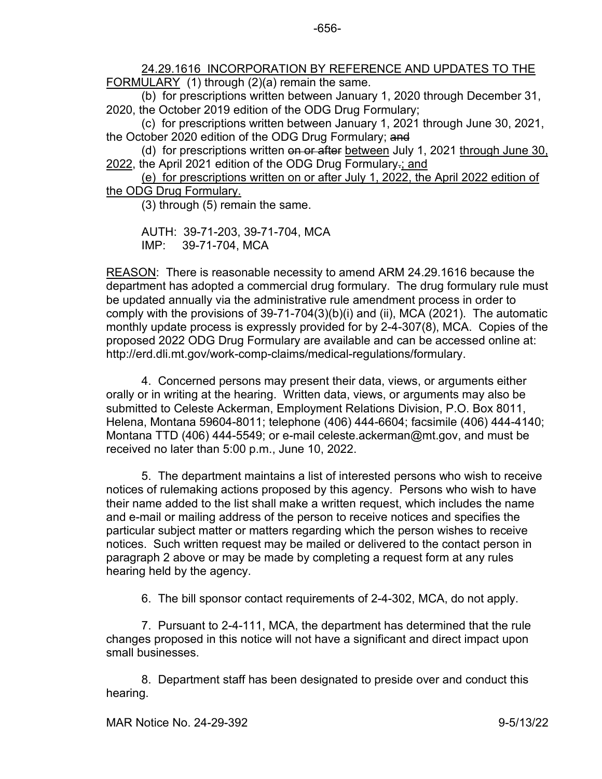(b) for prescriptions written between January 1, 2020 through December 31, 2020, the October 2019 edition of the ODG Drug Formulary;

(c) for prescriptions written between January 1, 2021 through June 30, 2021, the October 2020 edition of the ODG Drug Formulary; and

(d) for prescriptions written on or after between July 1, 2021 through June 30, 2022, the April 2021 edition of the ODG Drug Formulary.; and

(e) for prescriptions written on or after July 1, 2022, the April 2022 edition of the ODG Drug Formulary.

(3) through (5) remain the same.

AUTH: 39-71-203, 39-71-704, MCA IMP: 39-71-704, MCA

REASON: There is reasonable necessity to amend ARM 24.29.1616 because the department has adopted a commercial drug formulary. The drug formulary rule must be updated annually via the administrative rule amendment process in order to comply with the provisions of 39-71-704(3)(b)(i) and (ii), MCA (2021). The automatic monthly update process is expressly provided for by 2-4-307(8), MCA. Copies of the proposed 2022 ODG Drug Formulary are available and can be accessed online at: http://erd.dli.mt.gov/work-comp-claims/medical-regulations/formulary.

 4. Concerned persons may present their data, views, or arguments either orally or in writing at the hearing. Written data, views, or arguments may also be submitted to Celeste Ackerman, Employment Relations Division, P.O. Box 8011, Helena, Montana 59604-8011; telephone (406) 444-6604; facsimile (406) 444-4140; Montana TTD (406) 444-5549; or e-mail celeste.ackerman@mt.gov, and must be received no later than 5:00 p.m., June 10, 2022.

 5. The department maintains a list of interested persons who wish to receive notices of rulemaking actions proposed by this agency. Persons who wish to have their name added to the list shall make a written request, which includes the name and e-mail or mailing address of the person to receive notices and specifies the particular subject matter or matters regarding which the person wishes to receive notices. Such written request may be mailed or delivered to the contact person in paragraph 2 above or may be made by completing a request form at any rules hearing held by the agency.

6. The bill sponsor contact requirements of 2-4-302, MCA, do not apply.

 7. Pursuant to 2-4-111, MCA, the department has determined that the rule changes proposed in this notice will not have a significant and direct impact upon small businesses.

 8. Department staff has been designated to preside over and conduct this hearing.